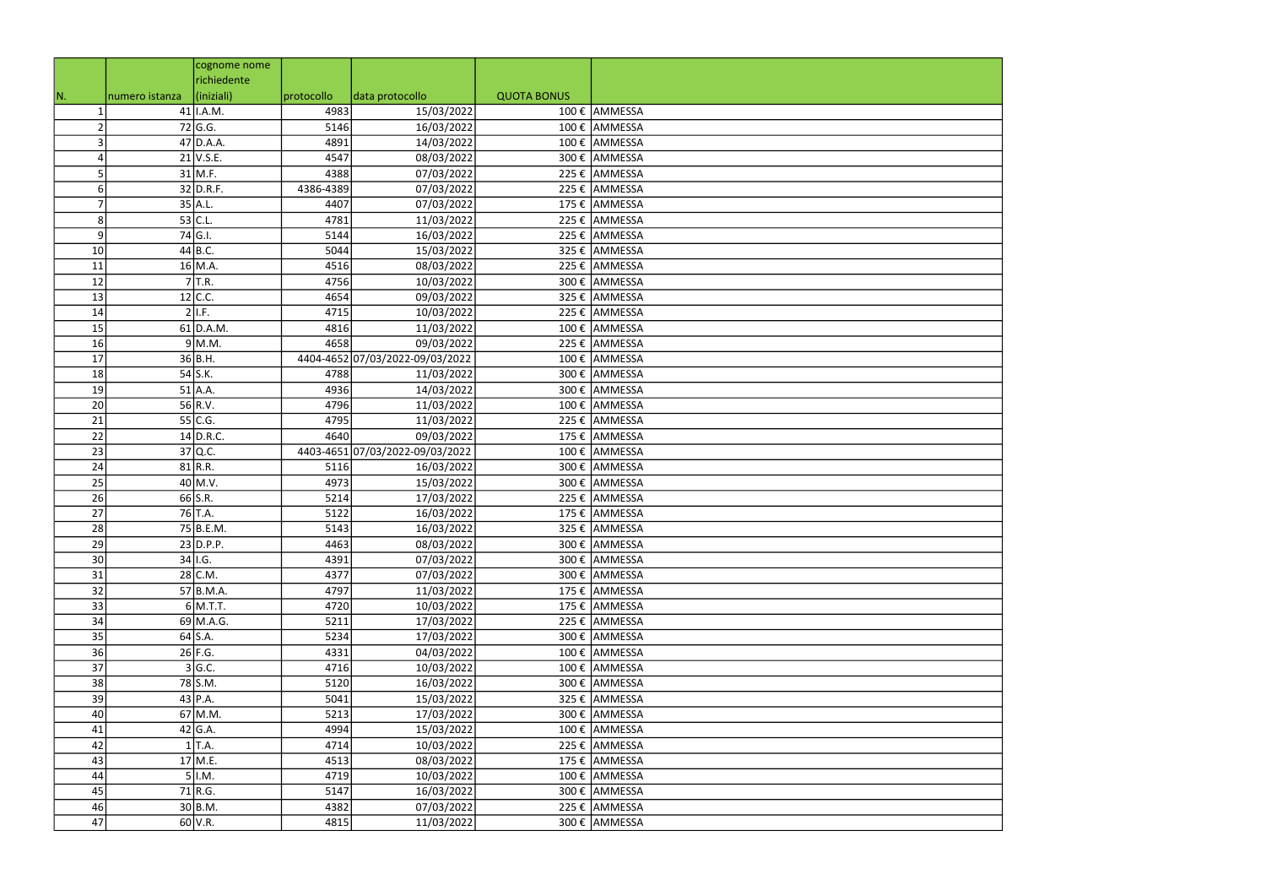|    |                | cognome nome  |            |                                 |                    |               |
|----|----------------|---------------|------------|---------------------------------|--------------------|---------------|
|    |                | richiedente   |            |                                 |                    |               |
| N. | numero istanza | (iniziali)    | protocollo | data protocollo                 | <b>QUOTA BONUS</b> |               |
|    |                | $41$   I.A.M. | 4983       | 15/03/2022                      |                    | 100 € AMMESSA |
|    |                | 72 G.G.       | 5146       | 16/03/2022                      |                    | 100 € AMMESSA |
|    |                | $47$ D.A.A.   | 4891       | 14/03/2022                      |                    | 100 € AMMESSA |
|    |                | $21$ V.S.E.   | 4547       | 08/03/2022                      |                    | 300 € AMMESSA |
| 5  |                | $31$ M.F.     | 4388       | 07/03/2022                      |                    | 225 € AMMESSA |
| 6  |                | $32$ D.R.F.   | 4386-4389  | 07/03/2022                      |                    | 225 € AMMESSA |
|    |                | $35$ A.L.     | 4407       | 07/03/2022                      |                    | 175 € AMMESSA |
| 8  |                | $53$ C.L.     | 4781       | 11/03/2022                      |                    | 225 € AMMESSA |
| 9  |                | 74 G.I.       | 5144       | 16/03/2022                      |                    | 225 € AMMESSA |
| 10 |                | $44$ B.C.     | 5044       | 15/03/2022                      |                    | 325 € AMMESSA |
| 11 |                | $16$ M.A.     | 4516       | 08/03/2022                      |                    | 225 € AMMESSA |
| 12 |                | $7$ T.R.      | 4756       | 10/03/2022                      |                    | 300 € AMMESSA |
| 13 |                | $12$ C.C.     | 4654       | 09/03/2022                      |                    | 325 € AMMESSA |
| 14 |                | II.F.         | 4715       | 10/03/2022                      |                    | 225 € AMMESSA |
| 15 |                | $61$ D.A.M.   | 4816       | 11/03/2022                      |                    | 100 € AMMESSA |
| 16 |                | $9$ M.M.      | 4658       | 09/03/2022                      |                    | 225 € AMMESSA |
| 17 |                | 36B.H.        |            | 4404-4652 07/03/2022-09/03/2022 |                    | 100 € AMMESSA |
| 18 |                | $54$ S.K.     | 4788       | 11/03/2022                      |                    | 300 € AMMESSA |
| 19 |                | $51$ A.A.     | 4936       | 14/03/2022                      |                    | 300 € AMMESSA |
| 20 |                | $56$ R.V.     | 4796       | 11/03/2022                      |                    | 100 € AMMESSA |
| 21 |                | $55$ C.G.     | 4795       | 11/03/2022                      |                    | 225 € AMMESSA |
| 22 |                | $14$ D.R.C.   | 4640       | 09/03/2022                      |                    | 175 € AMMESSA |
| 23 |                | 37 Q.C.       |            | 4403-4651 07/03/2022-09/03/2022 |                    | 100 € AMMESSA |
| 24 |                | $81$ R.R.     | 5116       | 16/03/2022                      |                    | 300 € AMMESSA |
| 25 |                | $40$ M.V.     | 4973       | 15/03/2022                      |                    | 300 € AMMESSA |
| 26 |                | $66$ S.R.     | 5214       | 17/03/2022                      |                    | 225 € AMMESSA |
| 27 |                | 76 T.A.       | 5122       | 16/03/2022                      |                    | 175 € AMMESSA |
| 28 |                | $75$ B.E.M.   | 5143       | 16/03/2022                      |                    | 325 € AMMESSA |
| 29 |                | $23$ D.P.P.   | 4463       | 08/03/2022                      |                    | 300 € AMMESSA |
| 30 |                | $34$  I.G.    | 4391       | 07/03/2022                      |                    | 300 € AMMESSA |
| 31 |                | $28$ C.M.     | 4377       | 07/03/2022                      |                    | 300 € AMMESSA |
| 32 |                | $57$ B.M.A.   | 4797       | 11/03/2022                      |                    | 175 € AMMESSA |
| 33 |                | $6$ M.T.T.    | 4720       | 10/03/2022                      |                    | 175 € AMMESSA |
| 34 |                | 69 M.A.G.     | 5211       | 17/03/2022                      |                    | 225 € AMMESSA |
| 35 |                | $64$ S.A.     | 5234       | 17/03/2022                      |                    | 300 € AMMESSA |
| 36 |                | $26$ F.G.     | 4331       | 04/03/2022                      |                    | 100 € AMMESSA |
| 37 |                | 3 G.C.        | 4716       | 10/03/2022                      |                    | 100 € AMMESSA |
| 38 |                | 78 S.M.       | 5120       | 16/03/2022                      |                    | 300 € AMMESSA |
| 39 |                | $43$ P.A.     | 5041       | 15/03/2022                      |                    | 325 € AMMESSA |
| 40 |                | $67$ M.M.     | 5213       | 17/03/2022                      |                    | 300 € AMMESSA |
| 41 |                | $42$ G.A.     | 4994       | 15/03/2022                      |                    | 100 € AMMESSA |
| 42 |                | $1$ T.A.      | 4714       | 10/03/2022                      |                    | 225 € AMMESSA |
| 43 |                | $17$ M.E.     | 4513       | 08/03/2022                      |                    | 175 € AMMESSA |
| 44 |                | $5$  I.M.     | 4719       | 10/03/2022                      |                    | 100 € AMMESSA |
| 45 |                | $71$ R.G.     | 5147       | 16/03/2022                      |                    | 300 € AMMESSA |
| 46 |                | 30 B.M.       | 4382       | 07/03/2022                      |                    | 225 € AMMESSA |
| 47 |                | $60$ V.R.     | 4815       | 11/03/2022                      |                    | 300 € AMMESSA |